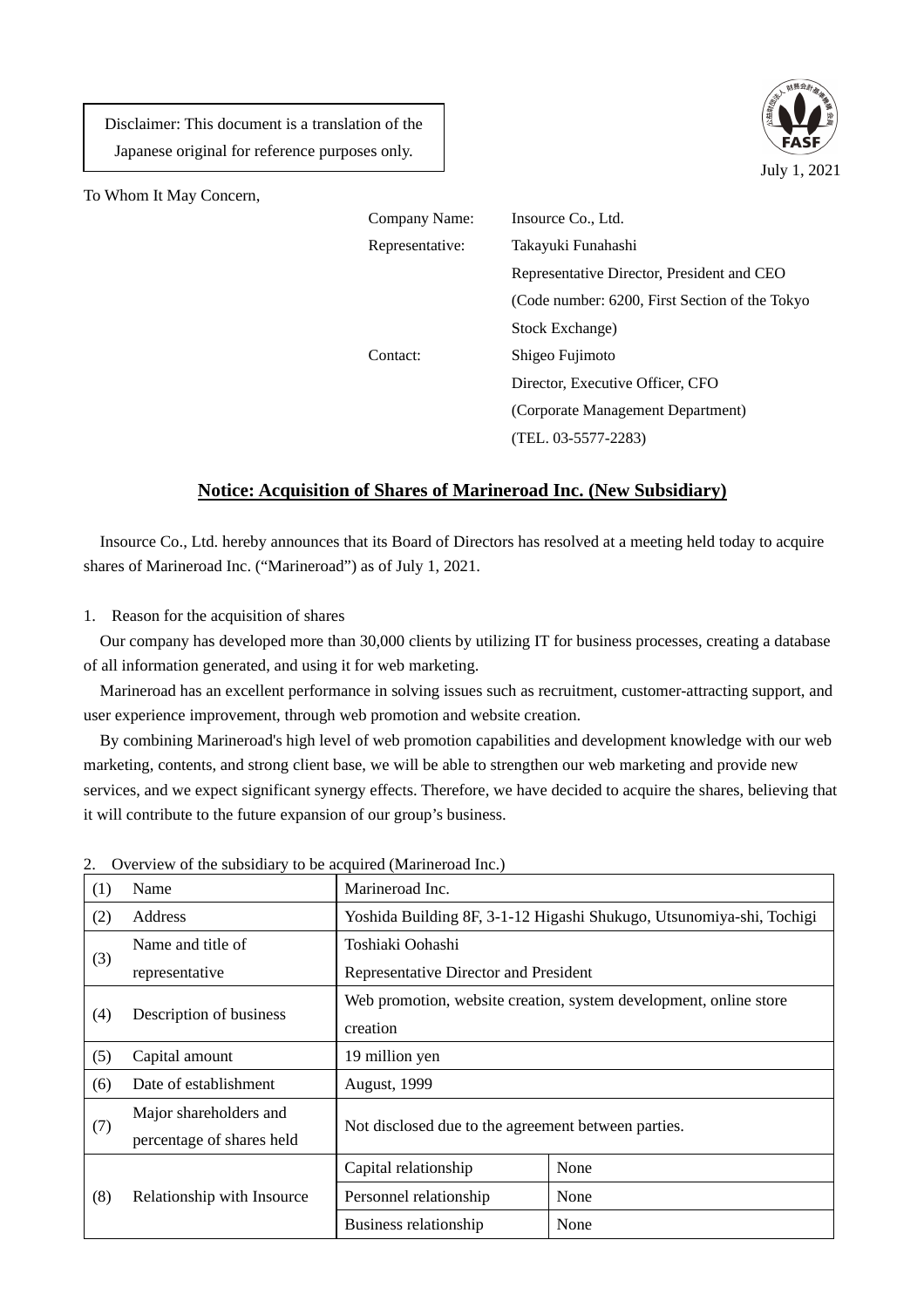Disclaimer: This document is a translation of the Japanese original for reference purposes only.



To Whom It May Concern,

| Insource Co., Ltd.                             |
|------------------------------------------------|
| Takayuki Funahashi                             |
| Representative Director, President and CEO     |
| (Code number: 6200, First Section of the Tokyo |
| Stock Exchange)                                |
| Shigeo Fujimoto                                |
| Director, Executive Officer, CFO               |
| (Corporate Management Department)              |
| $(TEL. 03-5577-2283)$                          |
|                                                |

## **Notice: Acquisition of Shares of Marineroad Inc. (New Subsidiary)**

Insource Co., Ltd. hereby announces that its Board of Directors has resolved at a meeting held today to acquire shares of Marineroad Inc. ("Marineroad") as of July 1, 2021.

1. Reason for the acquisition of shares

Our company has developed more than 30,000 clients by utilizing IT for business processes, creating a database of all information generated, and using it for web marketing.

Marineroad has an excellent performance in solving issues such as recruitment, customer-attracting support, and user experience improvement, through web promotion and website creation.

By combining Marineroad's high level of web promotion capabilities and development knowledge with our web marketing, contents, and strong client base, we will be able to strengthen our web marketing and provide new services, and we expect significant synergy effects. Therefore, we have decided to acquire the shares, believing that it will contribute to the future expansion of our group's business.

| (1) | Name                       | Marineroad Inc.                                                   |                                                                      |
|-----|----------------------------|-------------------------------------------------------------------|----------------------------------------------------------------------|
| (2) | Address                    |                                                                   | Yoshida Building 8F, 3-1-12 Higashi Shukugo, Utsunomiya-shi, Tochigi |
| (3) | Name and title of          | Toshiaki Oohashi                                                  |                                                                      |
|     | representative             | Representative Director and President                             |                                                                      |
| (4) |                            | Web promotion, website creation, system development, online store |                                                                      |
|     | Description of business    | creation                                                          |                                                                      |
| (5) | Capital amount             | 19 million yen                                                    |                                                                      |
| (6) | Date of establishment      | <b>August, 1999</b>                                               |                                                                      |
|     | Major shareholders and     | Not disclosed due to the agreement between parties.               |                                                                      |
| (7) | percentage of shares held  |                                                                   |                                                                      |
| (8) | Relationship with Insource | Capital relationship                                              | None                                                                 |
|     |                            | Personnel relationship                                            | None                                                                 |
|     |                            | Business relationship                                             | None                                                                 |

2. Overview of the subsidiary to be acquired (Marineroad Inc.)